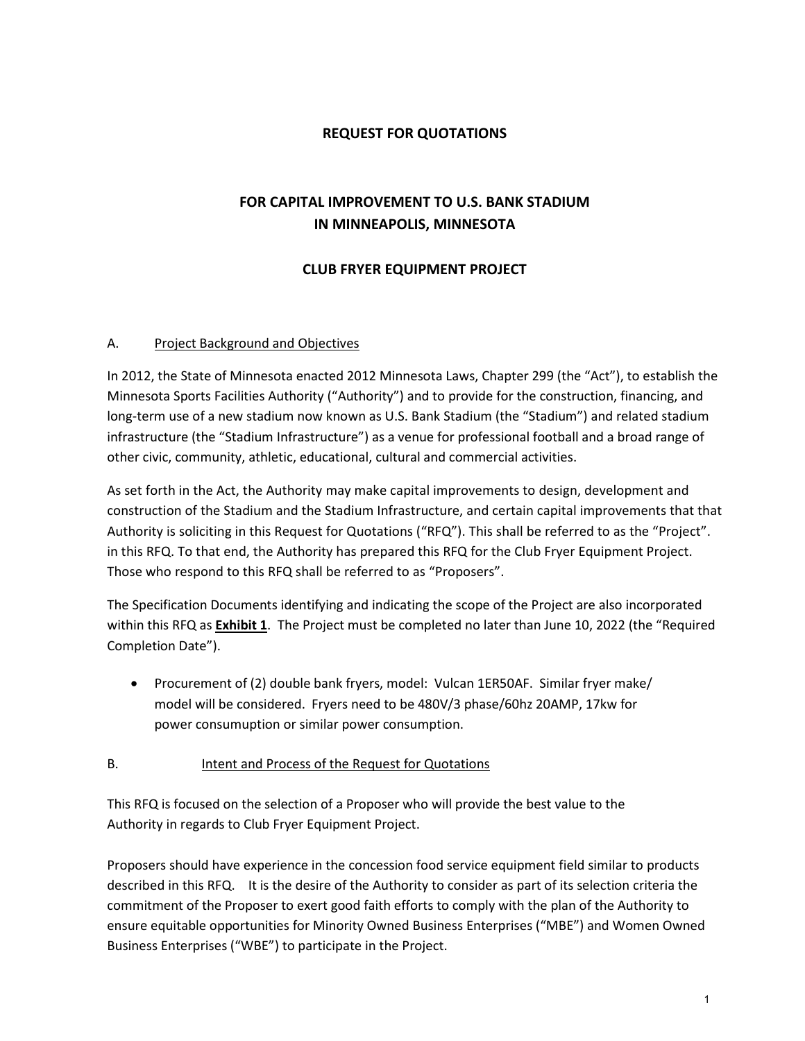### **REQUEST FOR QUOTATIONS**

## **FOR CAPITAL IMPROVEMENT TO U.S. BANK STADIUM IN MINNEAPOLIS, MINNESOTA**

### **CLUB FRYER EQUIPMENT PROJECT**

#### A. Project Background and Objectives

In 2012, the State of Minnesota enacted 2012 Minnesota Laws, Chapter 299 (the "Act"), to establish the Minnesota Sports Facilities Authority ("Authority") and to provide for the construction, financing, and long-term use of a new stadium now known as U.S. Bank Stadium (the "Stadium") and related stadium infrastructure (the "Stadium Infrastructure") as a venue for professional football and a broad range of other civic, community, athletic, educational, cultural and commercial activities.

As set forth in the Act, the Authority may make capital improvements to design, development and construction of the Stadium and the Stadium Infrastructure, and certain capital improvements that that Authority is soliciting in this Request for Quotations ("RFQ"). This shall be referred to as the "Project". in this RFQ. To that end, the Authority has prepared this RFQ for the Club Fryer Equipment Project. Those who respond to this RFQ shall be referred to as "Proposers".

The Specification Documents identifying and indicating the scope of the Project are also incorporated within this RFQ as **Exhibit 1**. The Project must be completed no later than June 10, 2022 (the "Required Completion Date").

• Procurement of (2) double bank fryers, model: Vulcan 1ER50AF. Similar fryer make/ model will be considered. Fryers need to be 480V/3 phase/60hz 20AMP, 17kw for power consumuption or similar power consumption.

#### B. Intent and Process of the Request for Quotations

This RFQ is focused on the selection of a Proposer who will provide the best value to the Authority in regards to Club Fryer Equipment Project.

Proposers should have experience in the concession food service equipment field similar to products described in this RFQ. It is the desire of the Authority to consider as part of its selection criteria the commitment of the Proposer to exert good faith efforts to comply with the plan of the Authority to ensure equitable opportunities for Minority Owned Business Enterprises ("MBE") and Women Owned Business Enterprises ("WBE") to participate in the Project.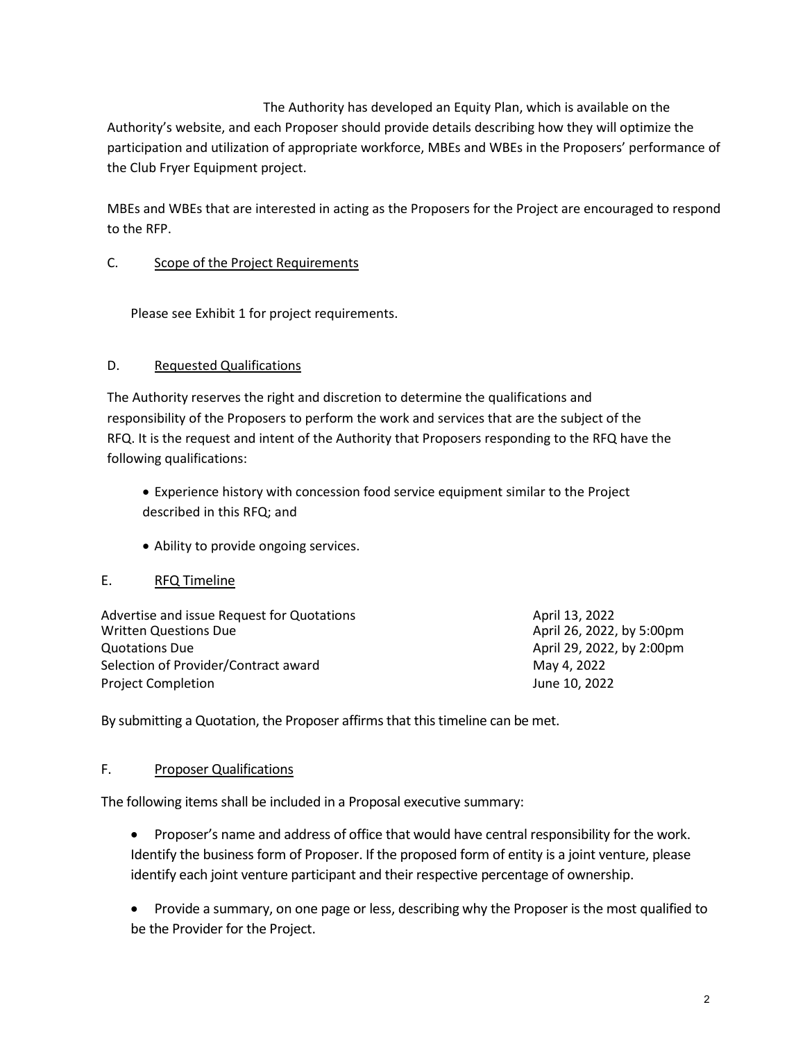The Authority has developed an Equity Plan, which is available on the Authority's website, and each Proposer should provide details describing how they will optimize the participation and utilization of appropriate workforce, MBEs and WBEs in the Proposers' performance of the Club Fryer Equipment project.

MBEs and WBEs that are interested in acting as the Proposers for the Project are encouraged to respond to the RFP.

#### C. Scope of the Project Requirements

Please see Exhibit 1 for project requirements.

#### D. Requested Qualifications

The Authority reserves the right and discretion to determine the qualifications and responsibility of the Proposers to perform the work and services that are the subject of the RFQ. It is the request and intent of the Authority that Proposers responding to the RFQ have the following qualifications:

- Experience history with concession food service equipment similar to the Project described in this RFQ; and
- Ability to provide ongoing services.

#### E. RFQ Timeline

| Advertise and issue Request for Quotations | April 13, 2022            |
|--------------------------------------------|---------------------------|
| <b>Written Questions Due</b>               | April 26, 2022, by 5:00pm |
| Quotations Due                             | April 29, 2022, by 2:00pm |
| Selection of Provider/Contract award       | May 4, 2022               |
| <b>Project Completion</b>                  | June 10, 2022             |

By submitting a Quotation, the Proposer affirms that this timeline can be met.

#### F. Proposer Qualifications

The following items shall be included in a Proposal executive summary:

- Proposer's name and address of office that would have central responsibility for the work. Identify the business form of Proposer. If the proposed form of entity is a joint venture, please identify each joint venture participant and their respective percentage of ownership.
- Provide a summary, on one page or less, describing why the Proposer is the most qualified to be the Provider for the Project.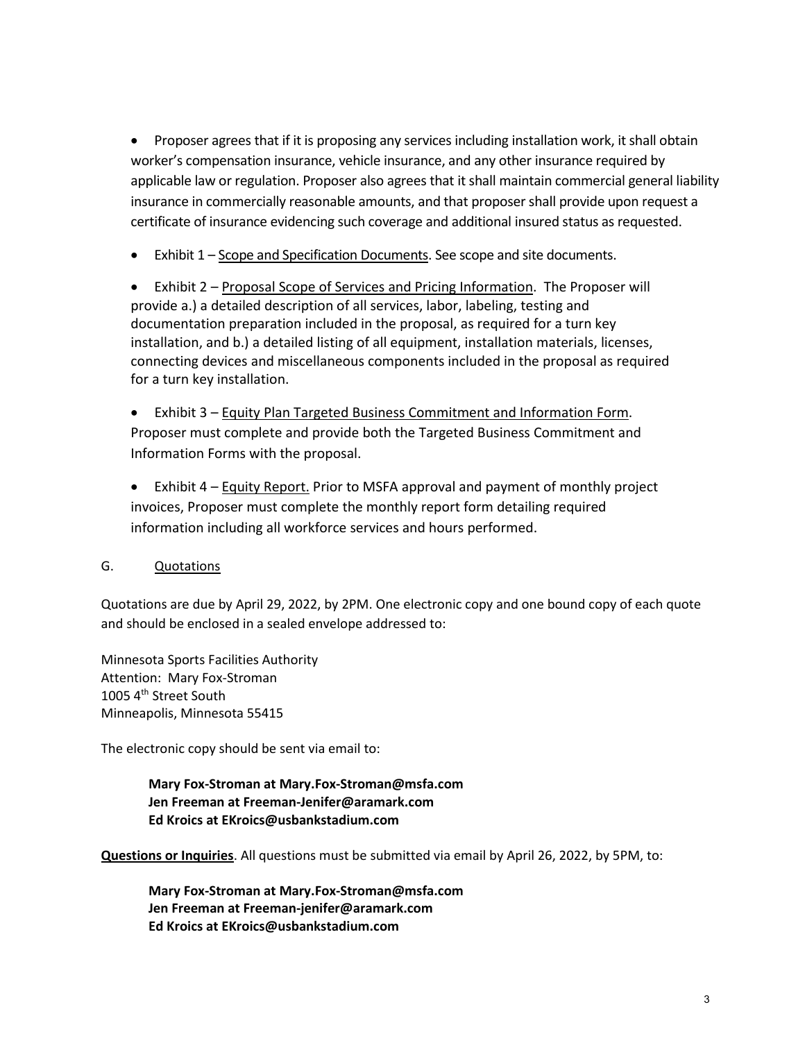• Proposer agrees that if it is proposing any services including installation work, it shall obtain worker's compensation insurance, vehicle insurance, and any other insurance required by applicable law or regulation. Proposer also agrees that it shall maintain commercial general liability insurance in commercially reasonable amounts, and that proposer shall provide upon request a certificate of insurance evidencing such coverage and additional insured status as requested.

• Exhibit 1 – Scope and Specification Documents. See scope and site documents.

• Exhibit 2 – Proposal Scope of Services and Pricing Information. The Proposer will provide a.) a detailed description of all services, labor, labeling, testing and documentation preparation included in the proposal, as required for a turn key installation, and b.) a detailed listing of all equipment, installation materials, licenses, connecting devices and miscellaneous components included in the proposal as required for a turn key installation.

• Exhibit 3 – Equity Plan Targeted Business Commitment and Information Form. Proposer must complete and provide both the Targeted Business Commitment and Information Forms with the proposal.

• Exhibit 4 – Equity Report. Prior to MSFA approval and payment of monthly project invoices, Proposer must complete the monthly report form detailing required information including all workforce services and hours performed.

## G. Quotations

Quotations are due by April 29, 2022, by 2PM. One electronic copy and one bound copy of each quote and should be enclosed in a sealed envelope addressed to:

Minnesota Sports Facilities Authority Attention: Mary Fox-Stroman 1005 4<sup>th</sup> Street South Minneapolis, Minnesota 55415

The electronic copy should be sent via email to:

**Mary Fox-Stroman at Mary.Fox-Stroman@msfa.com Jen Freeman at Freeman-Jenifer@aramark.com Ed Kroics at EKroics@usbankstadium.com**

**Questions or Inquiries**. All questions must be submitted via email by April 26, 2022, by 5PM, to:

**Mary Fox-Stroman at Mary.Fox-Stroman@msfa.com Jen Freeman at Freeman-jenifer@aramark.com Ed Kroics at EKroics@usbankstadium.com**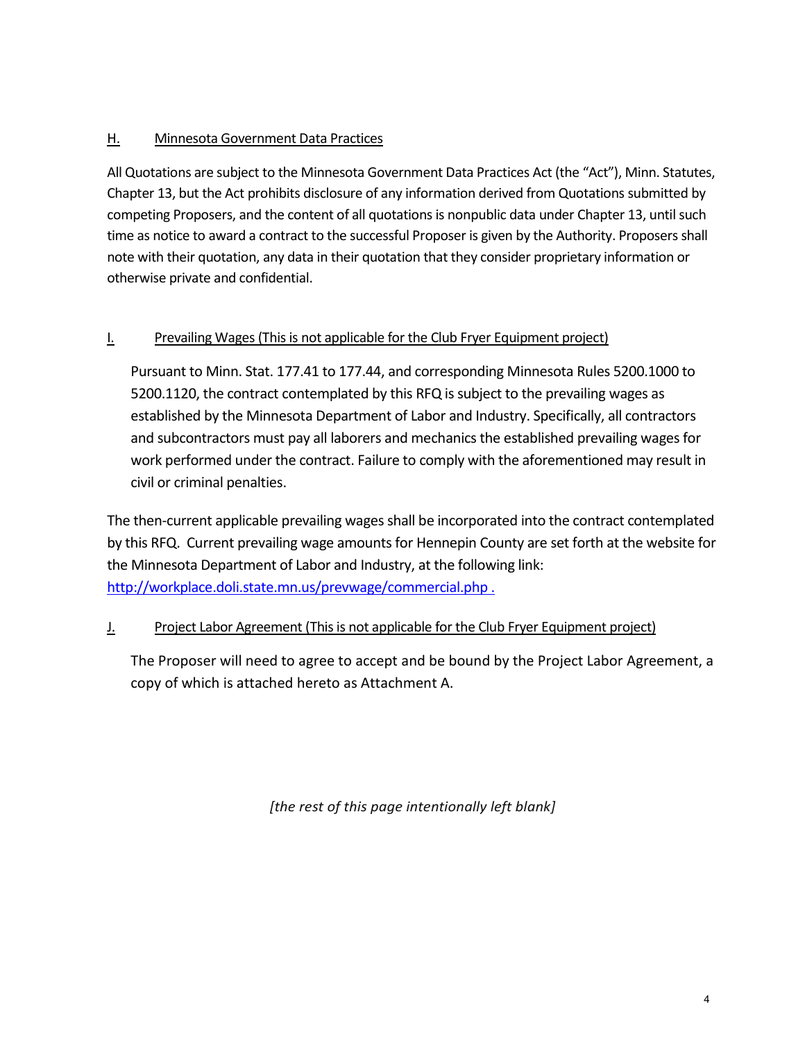## H. Minnesota Government Data Practices

All Quotations are subject to the Minnesota Government Data Practices Act (the "Act"), Minn. Statutes, Chapter 13, but the Act prohibits disclosure of any information derived from Quotations submitted by competing Proposers, and the content of all quotations is nonpublic data under Chapter 13, until such time as notice to award a contract to the successful Proposer is given by the Authority. Proposers shall note with their quotation, any data in their quotation that they consider proprietary information or otherwise private and confidential.

## I. Prevailing Wages(This is not applicable for the Club Fryer Equipment project)

Pursuant to Minn. Stat. 177.41 to 177.44, and corresponding Minnesota Rules 5200.1000 to 5200.1120, the contract contemplated by this RFQ is subject to the prevailing wages as established by the Minnesota Department of Labor and Industry. Specifically, all contractors and subcontractors must pay all laborers and mechanics the established prevailing wages for work performed under the contract. Failure to comply with the aforementioned may result in civil or criminal penalties.

The then-current applicable prevailing wages shall be incorporated into the contract contemplated by this RFQ. Current prevailing wage amounts for Hennepin County are set forth at the website for the Minnesota Department of Labor and Industry, at the following link: [http://workplace.doli.state.mn.us/prevwage/commercial.php .](http://workplace.doli.state.mn.us/prevwage/commercial.php)

## J. Project Labor Agreement (This is not applicable for the Club Fryer Equipment project)

The Proposer will need to agree to accept and be bound by the Project Labor Agreement, a copy of which is attached hereto as Attachment A.

*[the rest of this page intentionally left blank]*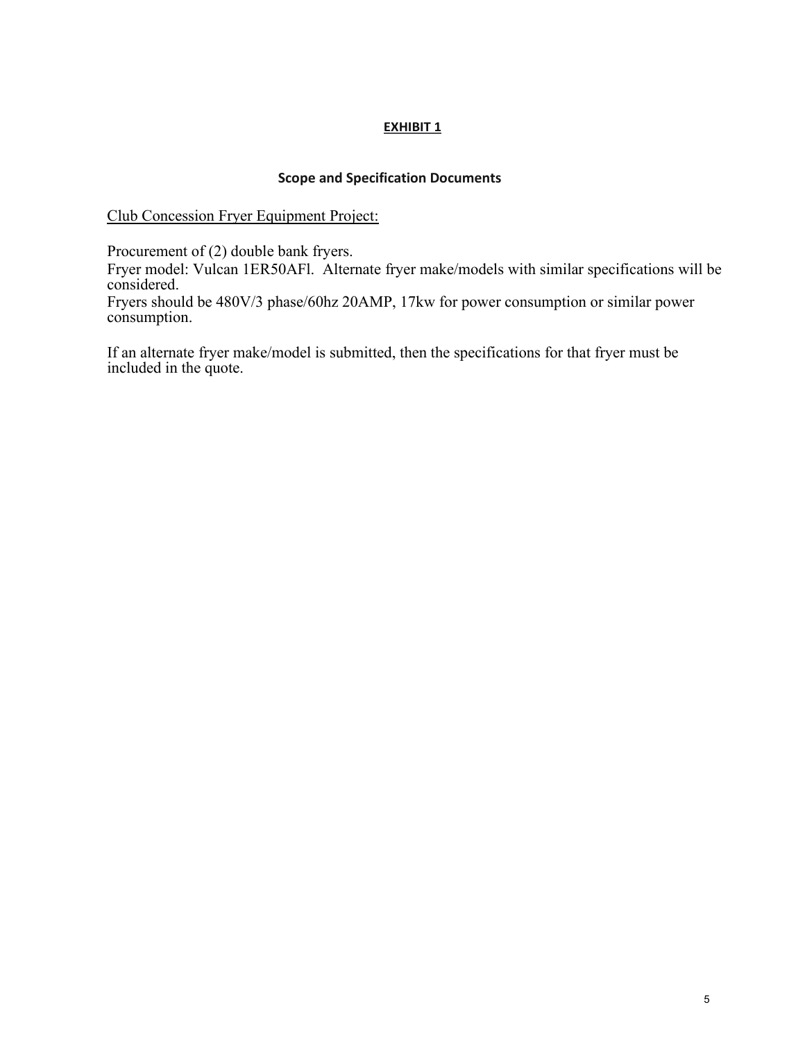#### **Scope and Specification Documents**

Club Concession Fryer Equipment Project:

Procurement of (2) double bank fryers.

Fryer model: Vulcan 1ER50AFl. Alternate fryer make/models with similar specifications will be considered.

Fryers should be 480V/3 phase/60hz 20AMP, 17kw for power consumption or similar power consumption.

If an alternate fryer make/model is submitted, then the specifications for that fryer must be included in the quote.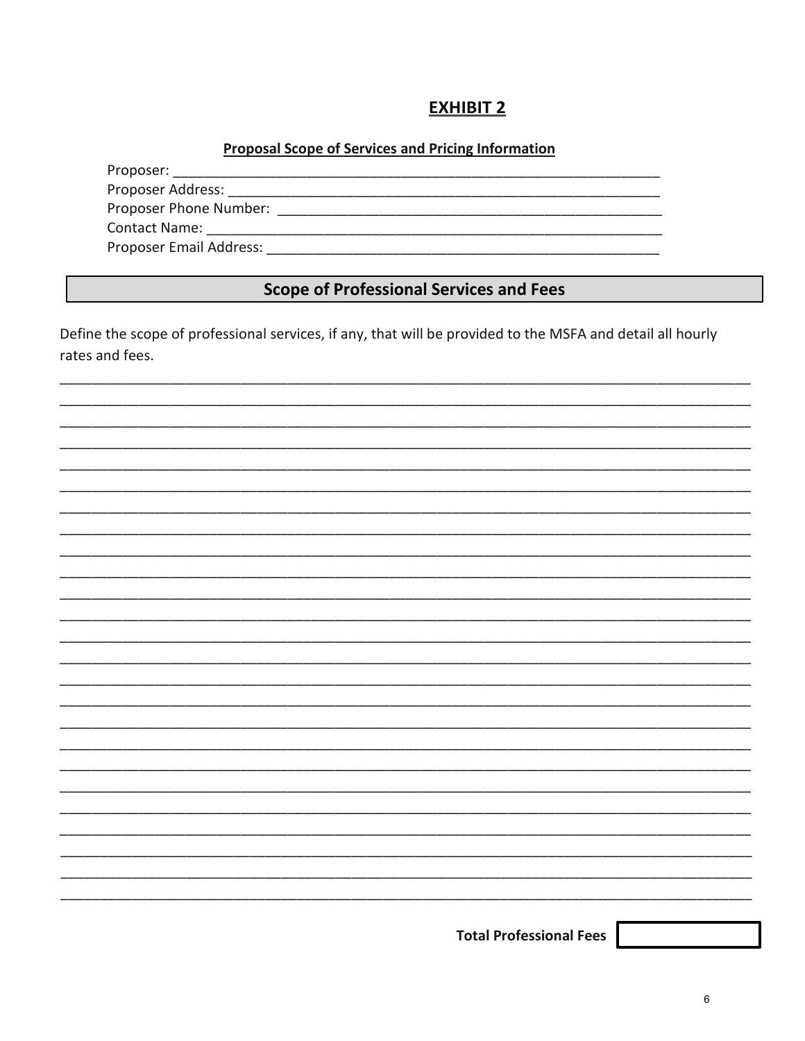## Proposal Scope of Services and Pricing Information

Proposer:

Proposer Address: The Contract of the Contract of the Contract of the Contract of the Contract of the Contract of the Contract of the Contract of the Contract of the Contract of the Contract of the Contract of the Contract 

Proposer Email Address: North and Services and Services and Services and Services and Services and Services and Services and Services and Services and Services and Services and Services and Services and Services and Servic

## **Scope of Professional Services and Fees**

Define the scope of professional services, if any, that will be provided to the MSFA and detail all hourly rates and fees.



**Total Professional Fees**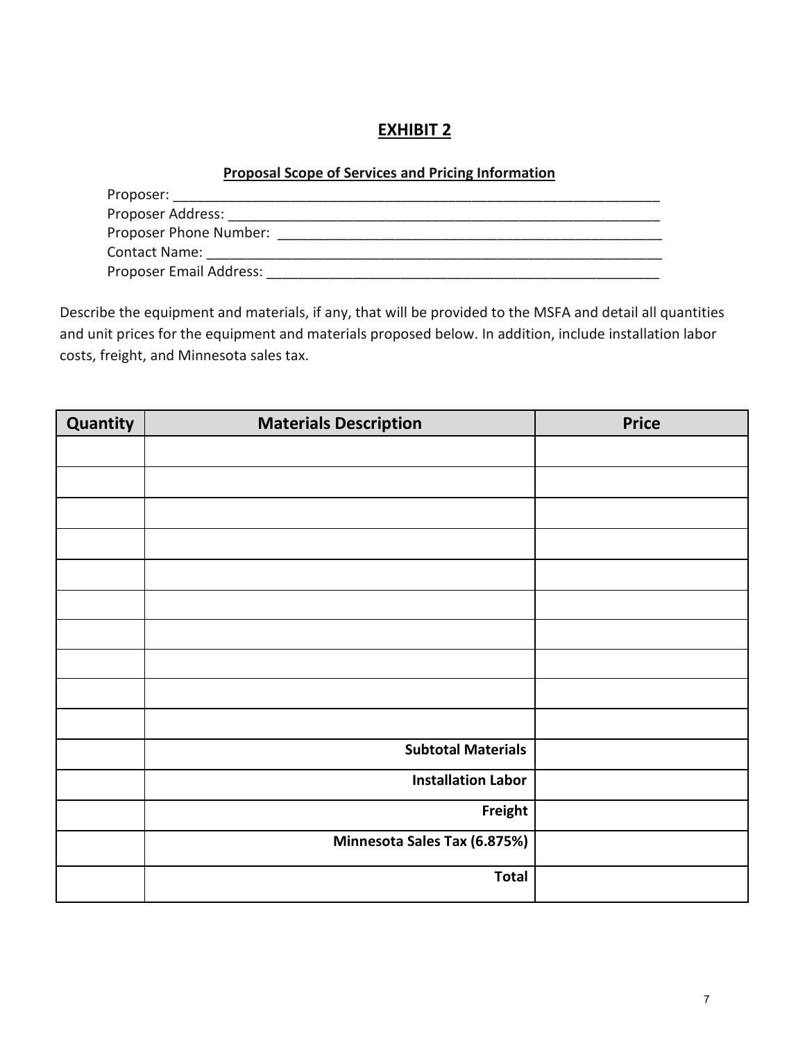## **Proposal Scope of Services and Pricing Information**

| Proposer:               |  |
|-------------------------|--|
| Proposer Address:       |  |
| Proposer Phone Number:  |  |
| <b>Contact Name:</b>    |  |
| Proposer Email Address: |  |

Describe the equipment and materials, if any, that will be provided to the MSFA and detail all quantities and unit prices for the equipment and materials proposed below. In addition, include installation labor costs, freight, and Minnesota sales tax.

| Quantity | <b>Materials Description</b> | <b>Price</b> |
|----------|------------------------------|--------------|
|          |                              |              |
|          |                              |              |
|          |                              |              |
|          |                              |              |
|          |                              |              |
|          |                              |              |
|          |                              |              |
|          |                              |              |
|          |                              |              |
|          |                              |              |
|          |                              |              |
|          | <b>Subtotal Materials</b>    |              |
|          | <b>Installation Labor</b>    |              |
|          | Freight                      |              |
|          | Minnesota Sales Tax (6.875%) |              |
|          | <b>Total</b>                 |              |
|          |                              |              |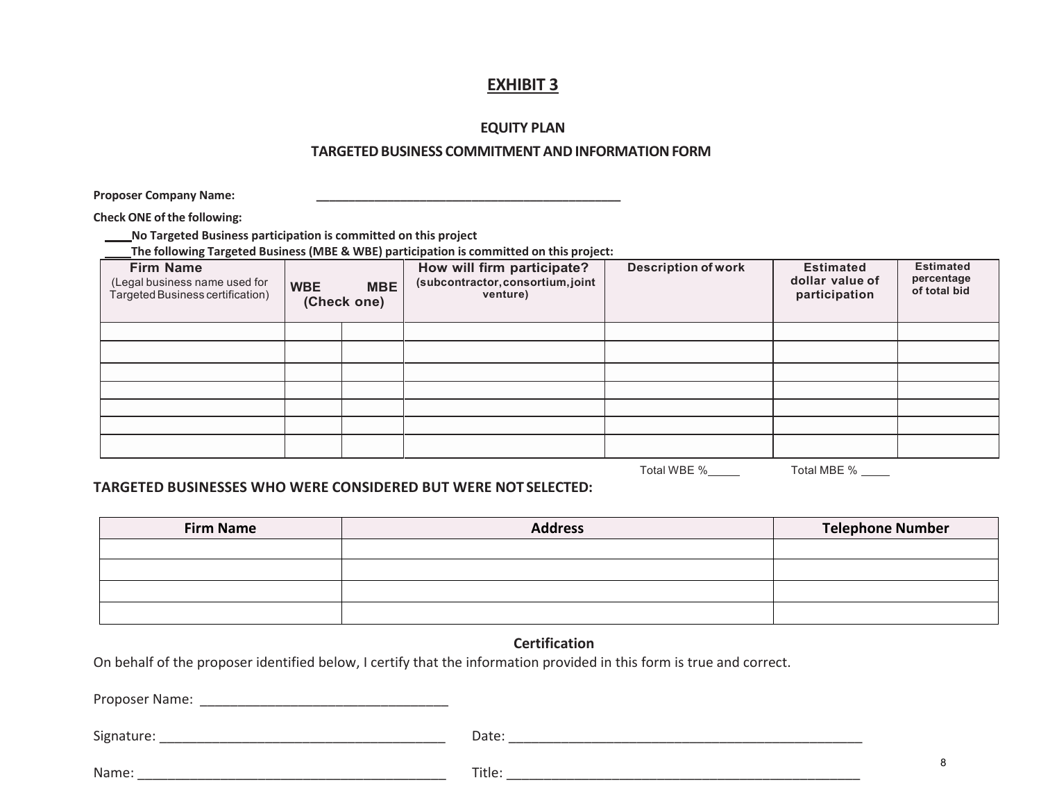#### **EQUITY PLAN**

#### **TARGETEDBUSINESS COMMITMENT ANDINFORMATIONFORM**

**Proposer Company Name: \_\_\_\_\_\_\_\_\_\_\_\_\_\_\_\_\_\_\_\_\_\_\_\_\_\_\_\_\_\_\_\_\_\_\_\_\_\_\_\_\_\_\_\_\_\_\_**

**Check ONE ofthe following:**

**No Targeted Business participation is committed on this project**  $\overline{\phantom{0}}$ 

**The following Targeted Business (MBE & WBE) participation is committed on this project:**

| <b>Firm Name</b><br>(Legal business name used for<br>Targeted Business certification) | <b>MBE</b><br><b>WBE</b><br>(Check one) |  |  |  | How will firm participate?<br>(subcontractor, consortium, joint<br>venture) | <b>Description of work</b> | <b>Estimated</b><br>dollar value of<br>participation | <b>Estimated</b><br>percentage<br>of total bid |
|---------------------------------------------------------------------------------------|-----------------------------------------|--|--|--|-----------------------------------------------------------------------------|----------------------------|------------------------------------------------------|------------------------------------------------|
|                                                                                       |                                         |  |  |  |                                                                             |                            |                                                      |                                                |
|                                                                                       |                                         |  |  |  |                                                                             |                            |                                                      |                                                |
|                                                                                       |                                         |  |  |  |                                                                             |                            |                                                      |                                                |
|                                                                                       |                                         |  |  |  |                                                                             |                            |                                                      |                                                |
|                                                                                       |                                         |  |  |  |                                                                             |                            |                                                      |                                                |
|                                                                                       |                                         |  |  |  |                                                                             |                            |                                                      |                                                |
|                                                                                       |                                         |  |  |  |                                                                             |                            |                                                      |                                                |

Total WBE % Total MBE %

#### **TARGETED BUSINESSES WHO WERE CONSIDERED BUT WERE NOT SELECTED:**

| <b>Firm Name</b> | <b>Address</b> | <b>Telephone Number</b> |
|------------------|----------------|-------------------------|
|                  |                |                         |
|                  |                |                         |
|                  |                |                         |
|                  |                |                         |

#### **Certification**

On behalf of the proposer identified below, I certify that the information provided in this form is true and correct.

Proposer Name: \_\_\_\_\_\_\_\_\_\_\_\_\_\_\_\_\_\_\_\_\_\_\_\_\_\_\_\_\_\_\_\_\_

Signature: \_\_\_\_\_\_\_\_\_\_\_\_\_\_\_\_\_\_\_\_\_\_\_\_\_\_\_\_\_\_\_\_\_\_\_\_\_\_ Date: \_\_\_\_\_\_\_\_\_\_\_\_\_\_\_\_\_\_\_\_\_\_\_\_\_\_\_\_\_\_\_\_\_\_\_\_\_\_\_\_\_\_\_\_\_\_\_

Name: \_\_\_\_\_\_\_\_\_\_\_\_\_\_\_\_\_\_\_\_\_\_\_\_\_\_\_\_\_\_\_\_\_\_\_\_\_\_\_\_\_ Title: \_\_\_\_\_\_\_\_\_\_\_\_\_\_\_\_\_\_\_\_\_\_\_\_\_\_\_\_\_\_\_\_\_\_\_\_\_\_\_\_\_\_\_\_\_\_\_

| u | am |  |  |
|---|----|--|--|
|   |    |  |  |

8